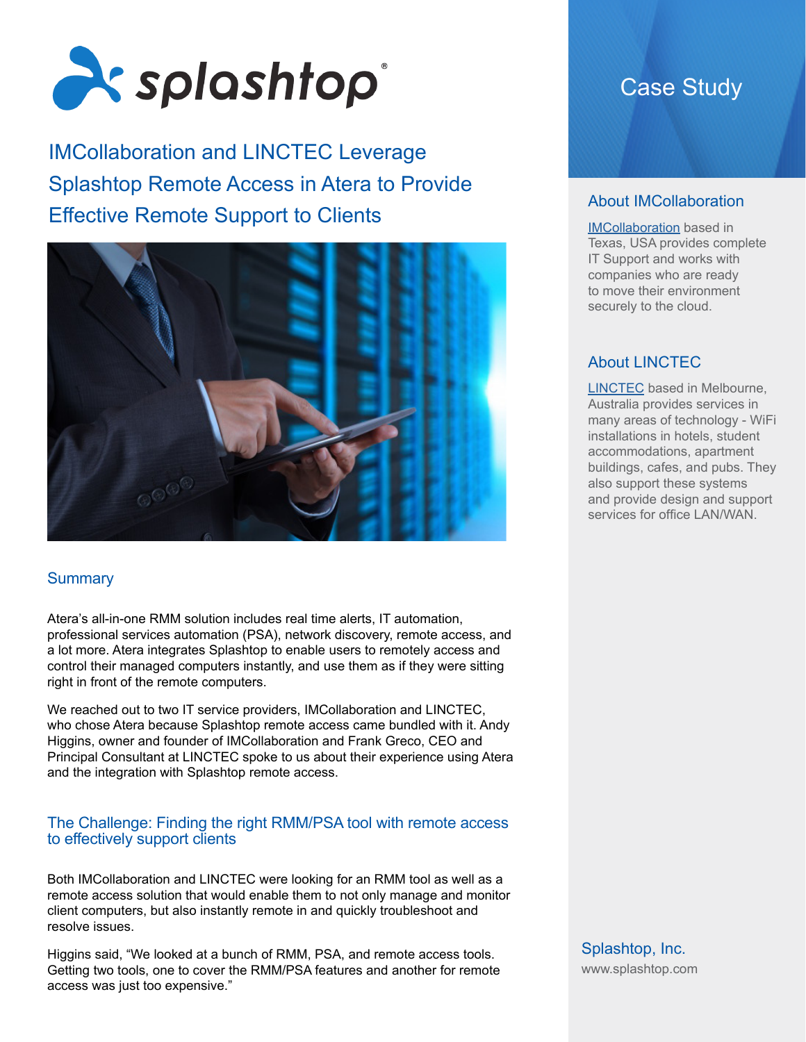

IMCollaboration and LINCTEC Leverage Splashtop Remote Access in Atera to Provide Effective Remote Support to Clients



# **Summary**

Atera's all-in-one RMM solution includes real time alerts, IT automation, professional services automation (PSA), network discovery, remote access, and a lot more. Atera integrates Splashtop to enable users to remotely access and control their managed computers instantly, and use them as if they were sitting right in front of the remote computers.

We reached out to two IT service providers, IMCollaboration and LINCTEC, who chose Atera because Splashtop remote access came bundled with it. Andy Higgins, owner and founder of IMCollaboration and Frank Greco, CEO and Principal Consultant at LINCTEC spoke to us about their experience using Atera and the integration with Splashtop remote access.

### The Challenge: Finding the right RMM/PSA tool with remote access to effectively support clients

Both IMCollaboration and LINCTEC were looking for an RMM tool as well as a remote access solution that would enable them to not only manage and monitor client computers, but also instantly remote in and quickly troubleshoot and resolve issues.

Higgins said, "We looked at a bunch of RMM, PSA, and remote access tools. Getting two tools, one to cover the RMM/PSA features and another for remote access was just too expensive."

# Case Study

# About IMCollaboration

[IMCollaboration](https://imcollaboration.com/) based in Texas, USA provides complete IT Support and works with companies who are ready to move their environment securely to the cloud.

# About LINCTEC

[LINCTEC](http://www.linctec.net/) based in Melbourne, Australia provides services in many areas of technology - WiFi installations in hotels, student accommodations, apartment buildings, cafes, and pubs. They also support these systems and provide design and support services for office LAN/WAN.

Splashtop, Inc. [www.splashtop.com](https://www.splashtop.com/)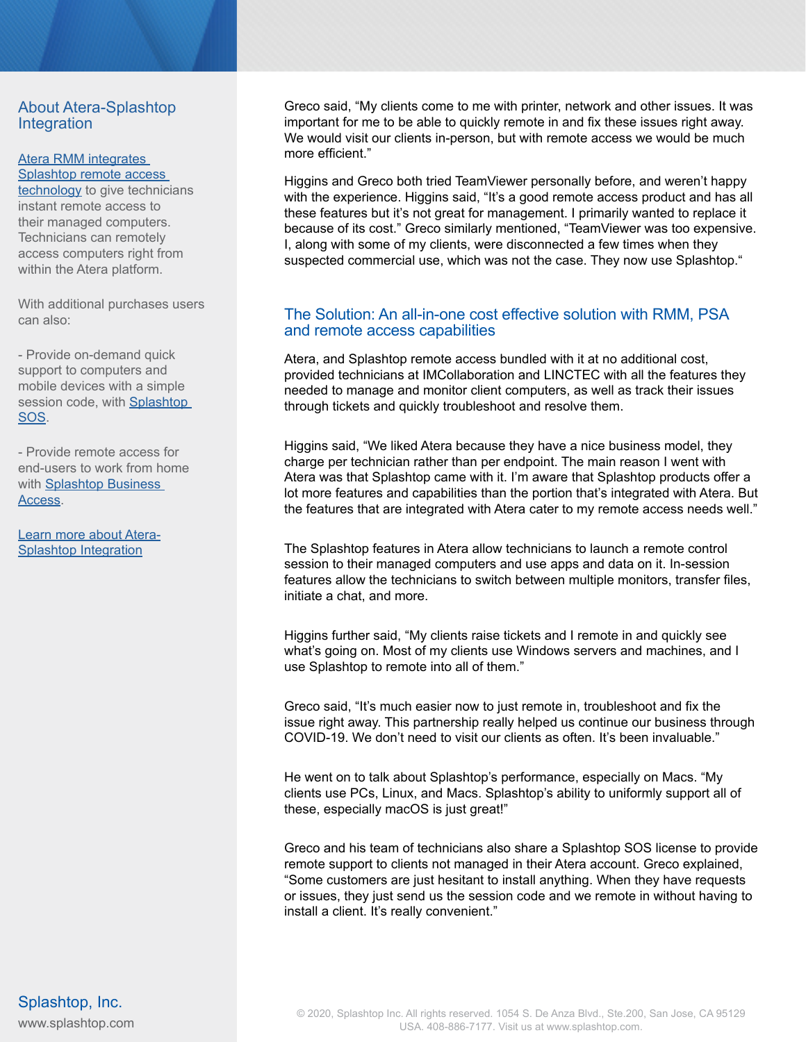### About Atera-Splashtop Integration

#### [Atera RMM integrates](https://www.atera.com/remote-access-and-remote-support/)  [Splashtop](https://www.atera.com/remote-access-and-remote-support/) remote access

technology to give technicians instant remote access to their managed computers. Technicians can remotely access computers right from within the Atera platform.

With additional purchases users can also:

- Provide on-demand quick support to computers and mobile devices with a simple session code, with Splashtop [SOS.](https://www.splashtop.com/sos)

- Provide remote access for end-users to work from home with [Splashtop Business](https://www.atera.com/remote-access-and-remote-support/work-from-home/)  [Access](https://www.atera.com/remote-access-and-remote-support/work-from-home/).

[Learn more about Atera-](https://www.splashtop.com/integrations/atera)[Splashtop Integration](https://www.splashtop.com/integrations/atera)

Greco said, "My clients come to me with printer, network and other issues. It was important for me to be able to quickly remote in and fix these issues right away. We would visit our clients in-person, but with remote access we would be much more efficient."

Higgins and Greco both tried TeamViewer personally before, and weren't happy with the experience. Higgins said, "It's a good remote access product and has all these features but it's not great for management. I primarily wanted to replace it because of its cost." Greco similarly mentioned, "TeamViewer was too expensive. I, along with some of my clients, were disconnected a few times when they suspected commercial use, which was not the case. They now use Splashtop."

# The Solution: An all-in-one cost effective solution with RMM, PSA and remote access capabilities

Atera, and Splashtop remote access bundled with it at no additional cost, provided technicians at IMCollaboration and LINCTEC with all the features they needed to manage and monitor client computers, as well as track their issues through tickets and quickly troubleshoot and resolve them.

Higgins said, "We liked Atera because they have a nice business model, they charge per technician rather than per endpoint. The main reason I went with Atera was that Splashtop came with it. I'm aware that Splashtop products offer a lot more features and capabilities than the portion that's integrated with Atera. But the features that are integrated with Atera cater to my remote access needs well."

The Splashtop features in Atera allow technicians to launch a remote control session to their managed computers and use apps and data on it. In-session features allow the technicians to switch between multiple monitors, transfer files, initiate a chat, and more.

Higgins further said, "My clients raise tickets and I remote in and quickly see what's going on. Most of my clients use Windows servers and machines, and I use Splashtop to remote into all of them."

Greco said, "It's much easier now to just remote in, troubleshoot and fix the issue right away. This partnership really helped us continue our business through COVID-19. We don't need to visit our clients as often. It's been invaluable."

He went on to talk about Splashtop's performance, especially on Macs. "My clients use PCs, Linux, and Macs. Splashtop's ability to uniformly support all of these, especially macOS is just great!"

Greco and his team of technicians also share a Splashtop SOS license to provide remote support to clients not managed in their Atera account. Greco explained, "Some customers are just hesitant to install anything. When they have requests or issues, they just send us the session code and we remote in without having to install a client. It's really convenient."